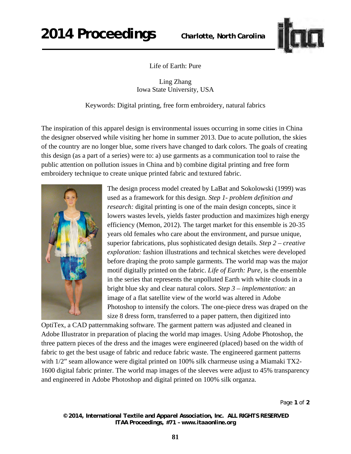## **2014 Proceedings** *Charlotte, North Carolina*



Life of Earth: Pure

Ling Zhang Iowa State University, USA

Keywords: Digital printing, free form embroidery, natural fabrics

The inspiration of this apparel design is environmental issues occurring in some cities in China the designer observed while visiting her home in summer 2013. Due to acute pollution, the skies of the country are no longer blue, some rivers have changed to dark colors. The goals of creating this design (as a part of a series) were to: a) use garments as a communication tool to raise the public attention on pollution issues in China and b) combine digital printing and free form embroidery technique to create unique printed fabric and textured fabric.



The design process model created by LaBat and Sokolowski (1999) was used as a framework for this design. *Step 1- problem definition and research:* digital printing is one of the main design concepts, since it lowers wastes levels, yields faster production and maximizes high energy efficiency (Memon, 2012). The target market for this ensemble is 20-35 years old females who care about the environment, and pursue unique, superior fabrications, plus sophisticated design details. *Step 2 – creative exploration:* fashion illustrations and technical sketches were developed before draping the proto sample garments. The world map was the major motif digitally printed on the fabric. *Life of Earth: Pure*, is the ensemble in the series that represents the unpolluted Earth with white clouds in a bright blue sky and clear natural colors. *Step 3 – implementation:* an image of a flat satellite view of the world was altered in Adobe Photoshop to intensify the colors. The one-piece dress was draped on the size 8 dress form, transferred to a paper pattern, then digitized into

OptiTex, a CAD patternmaking software. The garment pattern was adjusted and cleaned in Adobe Illustrator in preparation of placing the world map images. Using Adobe Photoshop, the three pattern pieces of the dress and the images were engineered (placed) based on the width of fabric to get the best usage of fabric and reduce fabric waste. The engineered garment patterns with  $1/2$ " seam allowance were digital printed on 100% silk charmeuse using a Miamaki TX2-1600 digital fabric printer. The world map images of the sleeves were adjust to 45% transparency and engineered in Adobe Photoshop and digital printed on 100% silk organza.

Page **1** of **2** 

*© 2014, International Textile and Apparel Association, Inc. ALL RIGHTS RESERVED ITAA Proceedings, #71 – www.itaaonline.org*